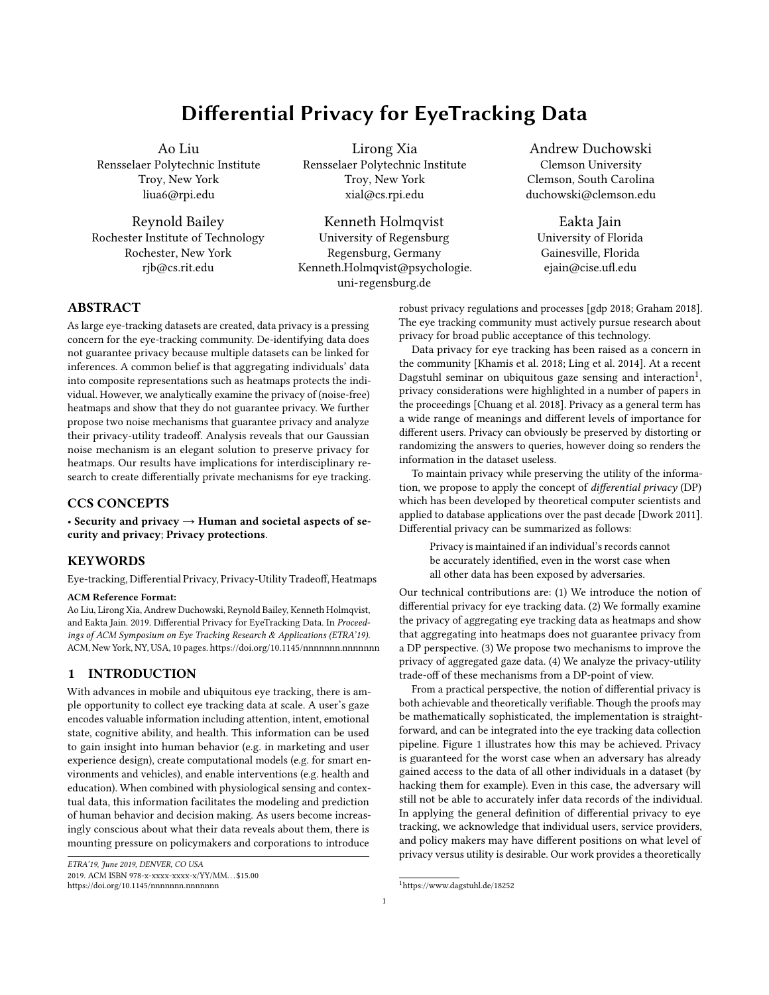# Differential Privacy for EyeTracking Data

Ao Liu Rensselaer Polytechnic Institute Troy, New York liua6@rpi.edu

Reynold Bailey Rochester Institute of Technology Rochester, New York rjb@cs.rit.edu

Lirong Xia Rensselaer Polytechnic Institute Troy, New York xial@cs.rpi.edu

Kenneth Holmqvist University of Regensburg Regensburg, Germany Kenneth.Holmqvist@psychologie. uni-regensburg.de

Andrew Duchowski Clemson University Clemson, South Carolina duchowski@clemson.edu

Eakta Jain University of Florida Gainesville, Florida ejain@cise.ufl.edu

# ABSTRACT

As large eye-tracking datasets are created, data privacy is a pressing concern for the eye-tracking community. De-identifying data does not guarantee privacy because multiple datasets can be linked for inferences. A common belief is that aggregating individuals' data into composite representations such as heatmaps protects the individual. However, we analytically examine the privacy of (noise-free) heatmaps and show that they do not guarantee privacy. We further propose two noise mechanisms that guarantee privacy and analyze their privacy-utility tradeoff. Analysis reveals that our Gaussian noise mechanism is an elegant solution to preserve privacy for heatmaps. Our results have implications for interdisciplinary research to create differentially private mechanisms for eye tracking.

## CCS CONCEPTS

• Security and privacy  $\rightarrow$  Human and societal aspects of security and privacy; Privacy protections.

# **KEYWORDS**

Eye-tracking, Differential Privacy, Privacy-Utility Tradeoff, Heatmaps

#### ACM Reference Format:

Ao Liu, Lirong Xia, Andrew Duchowski, Reynold Bailey, Kenneth Holmqvist, and Eakta Jain. 2019. Differential Privacy for EyeTracking Data. In Proceedings of ACM Symposium on Eye Tracking Research & Applications (ETRA'19). ACM, New York, NY, USA[, 10](#page-9-0) pages.<https://doi.org/10.1145/nnnnnnn.nnnnnnn>

# 1 INTRODUCTION

With advances in mobile and ubiquitous eye tracking, there is ample opportunity to collect eye tracking data at scale. A user's gaze encodes valuable information including attention, intent, emotional state, cognitive ability, and health. This information can be used to gain insight into human behavior (e.g. in marketing and user experience design), create computational models (e.g. for smart environments and vehicles), and enable interventions (e.g. health and education). When combined with physiological sensing and contextual data, this information facilitates the modeling and prediction of human behavior and decision making. As users become increasingly conscious about what their data reveals about them, there is mounting pressure on policymakers and corporations to introduce

ETRA'19, June 2019, DENVER, CO USA 2019. ACM ISBN 978-x-xxxx-xxxx-x/YY/MM. . . \$15.00 <https://doi.org/10.1145/nnnnnnn.nnnnnnn>

robust privacy regulations and processes [\[gdp 2018;](#page-7-0) [Graham 2018\]](#page-8-0). The eye tracking community must actively pursue research about privacy for broad public acceptance of this technology.

Data privacy for eye tracking has been raised as a concern in the community [\[Khamis et al. 2018;](#page-8-1) [Ling et al. 2014\]](#page-8-2). At a recent Dagstuhl seminar on ubiquitous gaze sensing and interaction<sup>[1](#page-0-0)</sup>. privacy considerations were highlighted in a number of papers in the proceedings [\[Chuang et al. 2018\]](#page-7-1). Privacy as a general term has a wide range of meanings and different levels of importance for different users. Privacy can obviously be preserved by distorting or randomizing the answers to queries, however doing so renders the information in the dataset useless.

To maintain privacy while preserving the utility of the information, we propose to apply the concept of *differential privacy* (DP) which has been developed by theoretical computer scientists and applied to database applications over the past decade [\[Dwork 2011\]](#page-8-3). Differential privacy can be summarized as follows:

Privacy is maintained if an individual's records cannot be accurately identified, even in the worst case when all other data has been exposed by adversaries.

Our technical contributions are: (1) We introduce the notion of differential privacy for eye tracking data. (2) We formally examine the privacy of aggregating eye tracking data as heatmaps and show that aggregating into heatmaps does not guarantee privacy from a DP perspective. (3) We propose two mechanisms to improve the privacy of aggregated gaze data. (4) We analyze the privacy-utility trade-off of these mechanisms from a DP-point of view.

From a practical perspective, the notion of differential privacy is both achievable and theoretically verifiable. Though the proofs may be mathematically sophisticated, the implementation is straightforward, and can be integrated into the eye tracking data collection pipeline. Figure [1](#page-1-0) illustrates how this may be achieved. Privacy is guaranteed for the worst case when an adversary has already gained access to the data of all other individuals in a dataset (by hacking them for example). Even in this case, the adversary will still not be able to accurately infer data records of the individual. In applying the general definition of differential privacy to eye tracking, we acknowledge that individual users, service providers, and policy makers may have different positions on what level of privacy versus utility is desirable. Our work provides a theoretically

<span id="page-0-0"></span><sup>1</sup><https://www.dagstuhl.de/18252>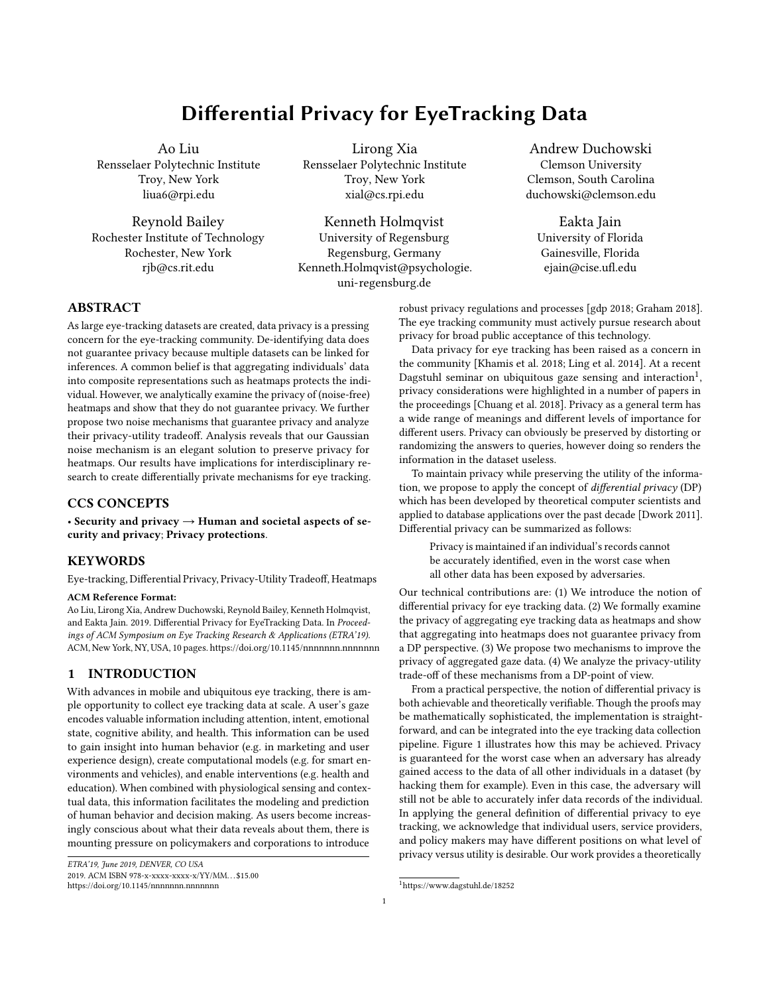#### <span id="page-1-0"></span>ETRA'19, June 2019, DENVER, CO USA Liu et al.



Figure 1: Workflow for researchers and practioners to create the desired strength of privacy level. The solid lines illustrate the standard workflow for generating an aggregate static heatmap from eye tracking data. The dotted lines show how to implement a privacy protocol with small modifications to this workflow. The hotspots on the privacy enhanced heatmap are visually in the same locations as the original heatmap. The supplementary materials show several examples of privacy enhanced heatmaps for the same noise level.

grounded analysis of privacy preserving mechanisms to empower these stakeholders to make such decisions.

Implications. Table [1](#page-1-1) presents some of the threats that may be posed if an adversary was to access eye tracking data with no privacy protocol in place. Specifically, we elaborate three scenarios where eye tracking data is collected with good intentions, but if hacked, could have consequences for the individuals concerned.

Scenario 1: A hospital or doctor's office collects eye tracking data as part of patients' general examination. A research grant enables a team to use this data to build a machine learning model that can predict whether someone has a certain neurological disorder. A hacker gains unauthorized access to this database and is able to identify specific individuals with the disorder. The hacker then sells or publicly releases the identity of these individuals, negatively impacting their employment opportunities, inflating their health insurance costs, and elevating their social and emotional anxiety.

Scenario 2: A parent signs a consent form allowing her child to be eye tracked in a classroom. The consent form says that this data is for a research project to understand and characterize learning disabilities and build interventions. The anonymized dataset will be released as part of an NIH big data initiative. If an adversary manages to access an individual child's data and analyze it for markers of dyslexia (for

| Type of data                                                             | <b>Example of intended use</b>               | What adversary can<br>access in worst case | What adversary can<br>do now                       | Does DP apply?   |
|--------------------------------------------------------------------------|----------------------------------------------|--------------------------------------------|----------------------------------------------------|------------------|
| Raw eye movements                                                        | Foveated rendering                           | Raw eye movements                          | Neurological diagnoses<br>(see Scenario 1)         | yes, future work |
| Aggregated data with-<br>out temporal informa-<br>tion (static heatmaps) | Marketing, UX design, edu-<br>cation         | Individual's heatmap                       | Behavioral diagnoses<br>(see Scenario 2)           | yes, this paper  |
| Aggregated data with<br>temporal information<br>(dynamic heatmaps)       | Training models for au-<br>tonomous vehicles | Individual's heatmap                       | Establish driver's liabil-<br>ity (see Scenario 3) | yes, future work |
| Areas of Interest (AOI)<br>analysis                                      | Expert vs novice analysis                    | Individual's AOI visit<br>order            | Autism spectrum diag-<br>noses                     | yes, future work |

<span id="page-1-1"></span>Table 1: In most cases, eye tracking data is released with the stimuli. This table illustrates the threats posed by releasing this data if no privacy protocol is in place.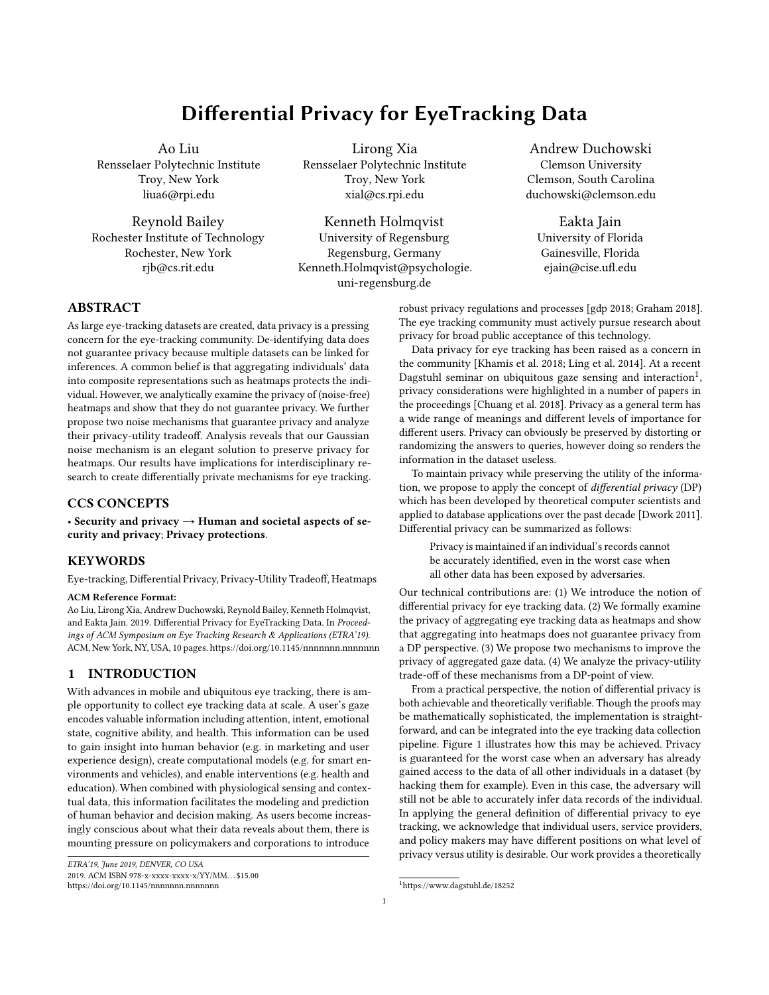Differential Privacy for EyeTracking Data **ETRA'19, June 2019, DENVER, CO USA** ETRA'19, June 2019, DENVER, CO USA

example), they may sell the information to a marketing company that will contact the parent with unsolicited advertising for therapies.

Scenario 3: A publicly funded research team is using eye tracking to study awareness and fatigue of commercial truck drivers. The eye movement data along with the scene being viewed is streamed to a remote server for later analysis. A driver in the study was involved in an accident that resulted in a fatality. Although drivers were told their data would be de-identified, a private investigator, hired by the family of the deceased, was able to extract his/her data record from the database, revealing evidence that (s)he was at fault in the accident.

In scenarios such as these, research teams may reassure participants that raw data will not be released, or that individual data will be de-identified or aggregated (often in the form of heatmaps), providing the impression that privacy is preserved.

## 2 BACKGROUND

The problem with de-identification. The first "solution" that occurs to many of us is to simply anonymize, or de-identify the dataset. This operation refers to removing personal identifiers such as the name of the participant from the dataset. The problem with this approach is that it is not future-proof; as newer datasets are released, multiple datasets can be linked, and the identity of a participant can then be inferred [\[Holland and Komogortsev 2011;](#page-8-4) [Komogortsev et al. 2010;](#page-8-5) [Nissim et al. 2017;](#page-8-6) [Ohm 2009\]](#page-8-7).

The problem with running queries. A second "solution" would be to not release the dataset as is, rather allow the analyst to query the dataset. The dataset would not allow queries on individual items, but only on large numbers of items. In other words, a query such as "Where did the student with the lowest grade look?" would be disallowed. But then, the analyst can run queries such as "Where did the students who did not have the lowest grade look?", and "Where did all the students look?", and use these queries to infer the disallowed query. This "solution" is not able to guarantee privacy in the worst case, for example, if the adversary hacks the data of  $n \t1$  out of n persons in the dataset. Then (s) he can easily infer the nth person's data by querying the average or sum of the dataset.

These issues are well known in database research. One widely accepted formal definition of privacy that has emerged from this extensive research is as follows: an individual's privacy is preserved if the inferences that are made from the dataset do not indicate in any significant way whether this individual is part of the dataset or not. This notion is called differential privacy.

Differential privacy. Differential privacy as a concept was conceived through insights by theoretical computer scientists aiming to formalize the notion of privacy that was practically achievable as well as theoretically verifiable [\[Dwork 2011\]](#page-8-3). A survey of differential privacy in different fields is presented by Dwork [\[2008\]](#page-8-8). Relevant to eye tracking are the works that have applied differential privacy definitions to machine learning [\[Abadi et al. 2016;](#page-7-2) [Ji et al.](#page-8-9) [2014\]](#page-8-9) and time-series analysis [\[Fan and Xiong 2014;](#page-8-10) [Rastogi and](#page-8-11) [Nath 2010\]](#page-8-11). From a societal impact perspective, the eye tracking industry has as much to gain from these ideas.

Mathematical definition of differential privacy. Formally, given datasets D and  $D^0$  that differ in at most one entry, let M<br>denote a randomized mechanism that outputs a query of a data denote a randomized mechanism that outputs a query of a database with some probability. Then, let S denote a subset of query outcomes (called an "event"). Then, we say the mechanism M is differentially private (or  $\Box$  DP in short) if for any S, D and  $D^0$ ,

$$
Pr \mathbb{M}^1 D^{\circ} 2 \mathbb{S} \mathbb{K} \quad e \; Pr \; \mathbb{M}^1 D^{0_{\circ}} 2 \mathbb{S} \; ; \tag{1}
$$

In the above inequality, the probability comes from the randomness of mechanism M. Such randomness is necessary as we will see in Section [3.3.](#page-4-0) We note that this is a worst-case analysis that offers a strong guarantee of privacy, because the inequality must hold for all S, and all neighboring datasets  $D$  and  $D^0$ .<br>Another more applicable notion of different

Another more applicable notion of differential privacy is  $^1$  ;  $\,^\circ$ differential privacy, which is a generalization of DP. Using the notation above, we say the mechanism  $M$  is  $\frac{1}{2}$   $\frac{1}{2}$  differentially private (or <sup>1</sup>; <sup>o</sup> DP in short) if for any S, D and  $D^0$  (D and  $D^0$ <br>differs at most one entry) differs at most one entry),

$$
Pr \times M^1D^0 2 \text{ S} \& e \text{ Pr } M^1D^{0_0} 2 \text{ S } + ;
$$

Typically it is believed that =  $\frac{1}{n}$  means poor privacy [\[Dwork](#page-8-12) [et al. 2014\]](#page-8-12) because it allows some individuals' data to be fully recovered, where  $n$  is the input size. We note that a mechanism can be <sup>1</sup> ; <sup>0</sup>-DP for multiple combinations of <sup>1</sup> ; <sup>0</sup>. As a rule of thumb, smaller 's and 's means better privacy, though we must point out that directly comparing different numerical values is not informative, e.g.  $10:1$ ;  $0:1^{\circ}$  and  $11$ ;  $0^{\circ}$  are not comparable.

Toy example. As part of a general wellness dataset D, the heights of five people are collected. The mean value as the average height of the population is released. Here, S is the set of outputting average height. In this example, an adversary obtains the heights of four of these five persons through hacking. In this way, the adversary has a dataset  $D^0$  that contains all persons except the fifth.<br>The adversary computes the average beight of the dataset  $D^0$  and The adversary computes the average height of the dataset  $D^0$  and finds that it is much lower than the average height of the dataset  $D$ finds that it is much lower than the average height of the dataset [D](#page-2-0). The adversary thus infers that the fifth person must be very tall.<sup>2</sup> In other words, even though the fifth person was not known by the adversary, and the dataset  $D$  was not released (only the average height was released), the fifth person is also compromised because his or her height can be reverse engineered by the adversary. Now, we introduce a mechanism M that perturbs the average height of the dataset D by a random amount before releasing it. If the level of perturbation is high enough, the adversary will not be able to even infer whether the fifth person is tall or not. Thus the mechanism M protects the privacy of the fifth person. Of course, if we add too much perturbation (or, output totally at random), the utility of the dataset will be affected because the output average height contains little information and does not reflect the average height of the population. This is the privacy-utility tradeoff (see Section [4\)](#page-5-0).

Privacy in eye tracking. For much of the past two decades, the focus of eye tracking research has been on making eye tracking ubiquitous, and on discovering the breadth of inferences that can be made from this data, especially in the contexts of health [\[Leigh](#page-8-13) [and Zee 2015\]](#page-8-13) and education [\[Jarodzka et al. 2017\]](#page-8-14). Privacy has not been a high priority because of the benefits of identifying pathology and designing personalized interventions. The relevance of privacy to eye tracking data was eloquently discussed by [Liebling](#page-8-15) [and Preibusch](#page-8-15) [\[2014\]](#page-8-15). [Ling et al.](#page-8-2) [\[2014\]](#page-8-2) and [Khamis et al.](#page-8-1) [\[2018\]](#page-8-1)

<span id="page-2-0"></span> $2$ The adversary can also compute the exact height of the fifth person.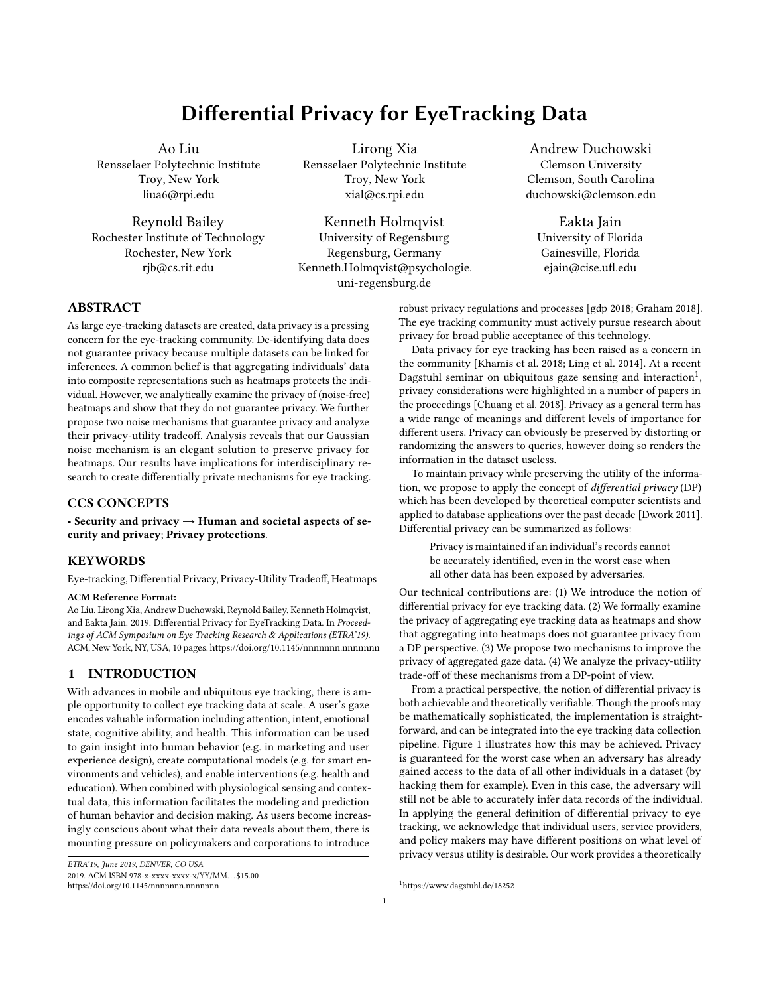have also highlighted the need for eye-tracking data. Privacy considerations have been raised both for streaming data, as well as pre-recorded datasets. Despite growing awareness and concern, few solutions have been proposed. Our work provides a technical solution for the privacy of individuals.

Why heatmaps as the first for privacy analysis. Besides scanpaths, the heatmap is a popular method of visualizing eye movement data [\[Duchowski 2018\]](#page-7-3). Heatmaps, or attentional landscapes as introduced by [Pomplun et al.](#page-8-16) [\[1996\]](#page-8-16) and popularized by [Wood](#page-8-17)[ing](#page-8-17) [\[2002\]](#page-8-17), are used to represent aggregate fixations [\[Duchowski](#page-7-4) [et al. 2012\]](#page-7-4). Other similar approaches involve gaze represented as height maps [\[Elias et al. 1984;](#page-8-18) [van Gisbergen et al. 2007\]](#page-8-19) or Gaussian Mixture Models [\[Mital et al. 2011\]](#page-8-20). Heatmaps are generated by accumulating exponentially decaying intensity  $\iota^{j}$ ; j° at pixel coordinates <sup>1</sup>*i*; *j*<sup>o</sup> relative to a fixation at coordinates <sup>1</sup>*X*; <sup>o</sup>,

$$
I^1 i; j^{\circ} = \exp \quad {}^{11}X \quad j^{\circ 2} + {}^{1} \quad j^{\circ 2 \circ \bullet} 12 \quad {}^{2\circ}
$$

where the exponential decay is modeled by the Gaussian point spread function. A GPU-based implementation [\[Duchowski et al.](#page-7-4) [2012\]](#page-7-4) is available for real-time visualization. Though heatmaps are very popular as a visualization, AOI analyses and temporal data analysis is key to eye-tracking research. We have focused on static heatmaps as a proof of concept for the applicability of differential privacy (DP) to eye tracking data. Insights from this work will inform future research on privacy in eye tracking.

# <span id="page-3-5"></span>3 ANALYZING DIFFERENTIAL PRIVACY OF THE PROPOSED PRIVACY-PRESERVING MECHANISMS

In this section, we analyze the differential privacy of four natural random mechanisms. We show two of these mechanisms cannot preserve privacy under the notion of DP. For the other two mechanisms, we provide theoretically guaranteed lower bounds on the noise required for any user-defined privacy level. Because a heatmap is created from aggregation of gaze maps, and because this is a reversible (convolution) process, the privacy of a heatmap is equivalent to that of the aggregated gaze map on which it is based.

#### <span id="page-3-2"></span>3.1 Notations

We use  $n$  to denote the number of observers in the database and  $r$ to denote the total number of pixels in the gaze maps. For example, an image of resolution 800 600 corresponds to  $r = 4.8$  10<sup>5</sup>. We<br>introduce an integer  $m > 1$  to can every observer's gaze man. For introduce an integer  $m > 1$  to cap every observer's gaze map. For example, if an observer looked at one pixel more than  $m$  times, we only count m in his/her gaze map.<sup>[3](#page-3-0)</sup> In Section [4.2,](#page-6-0) we will discuss the privacy-utility trade off and provide an algorithm for finding the the privacy-utility trade off and provide an algorithm for finding the "optimal cap". Let  $G_i$  denote the *i* th observer's personal gaze map (after applying cap). The aggregated gaze map of all  $n$  observers in the database is denoted by  $G = \frac{1}{n}$  $\frac{1}{n}$   $\prod_{i=1}^{n} G_i$ . Here, we normalize G by the number of observers in order to compare the noise-level under different setups. To simplify notations, we use  $G = {}^1G_1$ ;  $G_n$ <sup>o</sup> to denote the collection of all observers' gaze maps. Similarly, we use G  $_i = {}^1G_1$ ;  $G_{i-1}$ ;  $G_{i+1}$ ;  $G_n$ <sup>o</sup> to denote the collection of all

<span id="page-3-0"></span><sup>3</sup>Think of this as if the gaze map saturated.

observers' personal gaze maps except the  $i$  th observer. Then, we will define several gaze-map-aggregation mechanisms as follows:

> $\mathcal{M}_{\text{noise-free}}$ : Directly output the aggregated gaze map. Formally,  $M_{\text{noise-free}}^{16}$  of  $G_n^{\circ} = G = \frac{1}{n}$ <br>M<sub>noise</sub>-free  $G_n^{\circ}$  of  $G_n^{\circ} = G$  $\frac{1}{n}$   $\prod_{i=1}^{n} G_i$ .  $M_{rs1/c}$ <sup>o</sup>: Randomly select cn gaze maps from dataset (without replacement) and calculate aggregated gaze map accordingly. Formally, assuming the selected gaze maps are  ${\cal G}_{j_1}$ ;  $G_{j_{cn}}$  ,  $M_{rs1}{}^{i}G_1$ ;  $G_n{}^{o} = G = \frac{1}{C}$ <br>M<sub>1</sub> examples with M<sub>1</sub>  $\frac{1}{cn}$   $\frac{cn}{k+1}$   $G_{jk}$ .

> $M_{rs2^1c^0}$ : Similar with  $M_{rs1^1c^0}$ , the only difference is the sampling process is with replacement.

> $M_{\text{Gaussian}}$   $_{N}$ <sup>o</sup>: Adding Gaussian noise with standard devia-<br>tion (noise lovel) at to all nivels independently Formally tion (noise-level)  $N$  to all pixels independently. Formally,  $M_{\text{Gaussian} \ N} \, {}_{0}^{0} G_{1}; \quad {}_{0}^{0} G_{0}^{0} = G + \frac{1}{N}$ , where  $\frac{1}{N}$  is a r di-<br>mansional Gaussian poise term with zero mean and standard N mensional Gaussian noise term with zero mean and standard deviation  $N$  (all dimensions are mutually independent).

> $M_{\text{Laplacian}^{\dagger} \phantom{1}}$  <sup>0</sup>: Similar with  $M_{\text{Gaussian}^{\dagger}}$   $N^{\circ}$ , the only difference is Lankacian noise with noise lovel ence is Laplacian noise with noise level  $\mu$  is added instead of Gaussian noise.

In short,  $\mathcal{M}_{\texttt{rs1}^\dagger\texttt{C}^\circ}$  and  $\mathcal{M}_{\texttt{rs2}^\dagger\texttt{C}^\circ}$  inject sampling noise to the output while  $M_{\text{Gaussian}^1 \ N^{\circ}}$  and  $M_{\text{Laplacian}^1 \ L^{\circ}}$  inject additive noise.

## 3.2 Defining eye-tracking differential privacy

We start with re-phrasing the definition of  $\frac{1}{2}$   $\frac{1}{2}$  differential privacy to eye tracking data. In the following discussion, we assume that the aggregated gaze map  $G$  (or its noisy version) has been publicly released<sup>[4](#page-3-1)</sup>. The goal of our research is to protect observers' personal gaze maps  $G_1$ ;  $G_n$  by adding appropriate noise to the aggregated gaze map. Using the notation in Section [3.1,](#page-3-2) we assume that  $\overline{G}_i$ , all gaze maps other than  $G_i$ , are known by the adversary. For any set S of outputting gaze maps,  $1$  ;  $\circ$  differential privacy is formally defined as follows.

<span id="page-3-3"></span>Definition 3.1 ( $\degree$ ;  $\degree$  DP). For any set of event S, any collection of gaze maps  $G_i$  known by the adversary, we say a mechanism M is<sup> $1$ </sup>;  $\circ$  differentially private if and only if

<span id="page-3-4"></span>
$$
\Pr M^1G_j; G_{j}^{\circ} 2 S j G_{j}M \quad e \Pr M^1G_j; G_{j}^{\circ} 2 S j G_{j}M + \frac{1}{2}
$$

where  $G_i$  and  $G_i$  are any gaze maps of the *i* th observer.

According to differential privacy literatures [\[Dwork et al. 2014\]](#page-8-12), there is no hard threshold between good and poor privacy. For the purpose of illustration, we define the following "privacy levels" in the remainder of this paper:

| Poor privacy: $= 11 \cdot n^{\circ}$ . |                                 |  |
|----------------------------------------|---------------------------------|--|
| Okay privacy:                          | $= 3$ and $= n^{3 \cdot 2}$ .   |  |
| Good privacy:                          | $= 1$ and $= \pi^{3 \cdot 2}$ . |  |
|                                        |                                 |  |

Note "okay privacy" and "good privacy" are two examples we used for implementation. Practitioners can set their values of and according to their requirements (smaller and means better privacy). Note again  $=$   $1 \cdot n^{\circ}$  is widely acknowledged as poor privacy [\[Dwork et al. 2014\]](#page-8-12).

<span id="page-3-1"></span><sup>&</sup>lt;sup>4</sup>Because DP focuses on worst case scenarios, the adversary also knows all other observers individual gazemaps.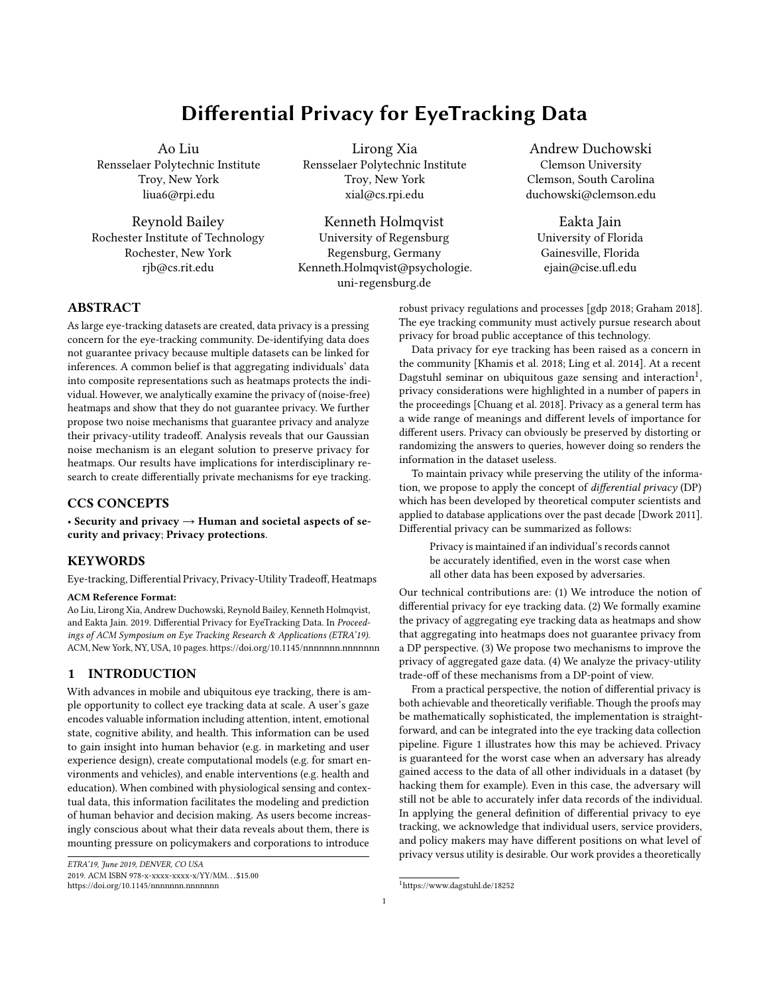Differential Privacy for EyeTracking Data **ETRA'19, June 2019, DENVER, CO USA** ETRA'19, June 2019, DENVER, CO USA

#### <span id="page-4-0"></span>3.3 There is no free privacy

We first use  $M_{\text{noise-free}}$  (poor privacy) as an example to connect intuition and the definition of DP. Intuitively, if the adversary has the noiseless aggregated gaze map G and all other observers' gaze maps G *i*, he/she can perfectly recover G<sub>i</sub> by calculating nG <br> $\iint_{i,j} G_i = \int_{i=1}^n G_i$   $\iint_{i,j} G_i = G_i$ .

$$
J_{j,i} G_j = J_{j=1}^n G_j J_{j,i} G_j = G_i.
$$

Using Definition [3.1](#page-3-3) and letting  $G_i = G_i$ ,  $G_i$  and  $S = f Gg$ , Pr»M<sup>1</sup>G<sub>i</sub>; G i<sup>o</sup> 2 S j G i<sup>y</sup> = 1 and Pr»M<sup>1</sup>G<sub>i</sub>; G i<sup>o</sup> 2 S j G i<sup>y</sup> = 0;

because G will not be a possible output if  $G_i$ ,  $G_i$ . Thus, we know can't be less than 1 to make Inequality [2](#page-3-4) hold. Considering =  $11^\circ$  corresponds to poor privacy, we know  $M_{\text{noise-free}}$  has poor privacy in the language of  $\frac{1}{2}$   $\frac{1}{2}$  DP defined in Definition [3.1.](#page-3-3)

## 3.4 Random selection gives poor privacy

In Section [3.1,](#page-3-2) we proposed two versions of random selection mechanisms. The first version  $(M_{rs1})$  randomly selects cn observers without replacement while the second version  $(M_{rs2})$  selects cn with replacement.

<span id="page-4-2"></span>THEOREM 3.2 (WITHOUT REPLACEMENT). Mechanism  $M_{rs1}$  has poor privacy.

PROOF. We prove  $M_{rs1}$ 's privacy by considering the following case: assuming resolution  $r = 1<sup>5</sup>$  $r = 1<sup>5</sup>$  $r = 1<sup>5</sup>$ , all observers other than the *i* th<br>did not look at the only nivel we have did not look at the only pixel, we have,

Pr 
$$
M_{rs1}^1G_1
$$
;  $G_n^0 = \frac{1}{cn} G_i = 1$ ;  $G_i = 0 = c$  and  
Pr  $M_{rs1}^1G_1$ ;  $G_n^0 = \frac{1}{cn} G_i = 0$ ;  $G_i = 0 = 0$ ;

where G  $i = 0$  means all elements in collection G  $i$  equals to 0. Thus, we know can't be less than  $c$  to make [\(2\)](#page-3-4) hold. Then, Theorem [3.2](#page-4-2) follows because  $c = \frac{11 \cdot n^{\circ}}{cn} = \frac{11^{\circ}}{8}$  is the number of observers selected).

<span id="page-4-3"></span>THEOREM 3.3 (WITH REPLACEMENT). Mechanism  $M_{rs2}$  has poor privacy.

Proof of Theorem [3.3](#page-4-3) (see Appendix [A](#page-9-1) in Supplementary materials) is similar to the proof of Theorem [3.2.](#page-4-2) Note that Theorem [3.2](#page-4-2) and Theorem [3.3](#page-4-3) show that both versions of random-selection mechanisms have poor privacy.

#### 3.5 Achieving good privacy with random noise

In this section, we show that adding Gaussian or Laplacian noise can give good privacy if the noise level satisfies certain conditions based on user-defined privacy levels.

3.5.1 Gaussian Noise. Gaussian noise is widely used noise in many optical systems. In  $M_{\text{Gaussian}}$ , we add Gaussian noise with standard deviation  $M_{\text{Gaussian}}$  is all nivels of the aggregated standard deviation  $\quad$   $_{\cal N}$  independently to all pixels of the aggregated gaze map. The probability density  $p_N$  of outputting aggregated gaze map  $G^{1/N^{\circ}}$  is

$$
p_N \quad M_{\text{Gaussian}^1 \ N^{0}}^1 G_1; \quad \, \vdots \quad G_n^0 = G^{1/N^0}
$$
\n
$$
= \frac{1}{12 \quad N^{0^{r+2}}} \quad \exp \quad \frac{G^{1/N^0} \ G^{2^{\frac{1}{2}}}}{2 \frac{2}{N}} \tag{3}
$$

which is a  $r$  dimensional Gaussian distribution such that all dimensions are independent. Note all  $\hat{z}_2$  norm in main paper and appendix represent Frobenius norm of matrices. For simplification, we use  $p_N$  G<sup>11</sup> to represent  $p_N$   $\frac{|V|}{\text{Gaussian } N}$   $\frac{N}{N}$  is  $\frac{|G|}{\text{G}} = G$ . <sup>1</sup>N<sup>o</sup> to represent  $p_N$  M<sub>Gaussian<sup>1</sup>  $N^0$ <sup>1</sup>G<sub>1</sub>;  $G_n$ <sup>o</sup> = G<sup>1</sup><sup>N</sup><sup>o</sup></sub> adversary if the noise-level is as required (for any <sup>1</sup>;  $\degree$ , we can<br>always find noise level  $\rightarrow \text{L}$  to guarantee  $\frac{1}{2}$ ,  $\degree$  DP) <sup>N°</sup> ( $M_{\text{Gaussian}^1}$   $N^{\circ}$ 's output) will not give much information to always find noise level  $N$  to guarantee <sup>1</sup> ; <sup>o</sup> DP).

<span id="page-4-4"></span>**r** THEOREM 3.4 (GAUSSIAN NOISE). *For any noise level* 
$$
N = \frac{m}{n}
$$
  
 $r = \frac{1}{2} + \ln \frac{r}{n}$ ,  $M_{Gaussian^1, N^0} \text{ is } 1$ ; *• differentially private.*

Theorem [3.4](#page-4-4) basically says we can always find a noise level  $N$ to meet any user-defined privacy level (any and ).

PROOF. Let  $G_i$  and  $G_i$  to denote any two possible gaze maps of the *i* th observer. To simplify notation, we use  $G_i = \frac{1}{n}$   $\frac{1}{n}$  *j*, *i*  $G_j$  to denote the aggregated gaze map from observers other than the to denote the aggregated gaze map from observers other than the *i* th. If the *i* th observer's gaze map is  $G_i$ , the probability density of the outputting  $p_N$ <sup>1</sup> $G^1N^\circ$  j  $G_i = G_i^\circ$  is

$$
p_N {}^{1}G^{\,1N^{\circ}}\,j\,G_i = G_i{}^{0} = \frac{1}{12 - N^{\,0^{r+2}}}\exp\left(-\frac{1}{2\frac{2}{N}}\right)\frac{G_i}{n} + \frac{n}{n}\frac{1}{G}G_i - G^{\,1N^{\circ}}\left(\frac{2}{N}\right)^2;
$$

Similarly, if the  $i$  th observer's gaze map is  $G_i$ , we have,

$$
p_N {^{1}G^{^{1}N^{o}}} \, \int G_i = G_i {^{o}} = \frac{1}{12 - N^{o}N^{2}} \exp \left(-\frac{1}{2\frac{2}{N}}\right) - \frac{G_i}{N} + \frac{n}{n} \frac{1}{G} G_i - G^{'N^{o}} \frac{2}{2};
$$

r

For any  $G_i$ ,  $G_i$  and  $G_i$ , we have,

$$
\frac{p_N^1 G^{1/N^0} \n\Big| G_i = G_i^{\circ}}{p_N^1 G^{1/N^0} \n\Big| G_i = G_i^{\circ}}
$$
\n
$$
= \exp \frac{1}{2 \frac{2}{N}} \frac{G_i}{n} + \frac{n}{n} \frac{1}{G} G_i G^{1/N^0} \frac{2}{2} \frac{G_i}{n} + \frac{n}{n} \frac{1}{G} G_i G^{1/N^0} \frac{2}{2}
$$
\n
$$
\exp \frac{2}{2 \frac{G_i}{n} + \frac{n}{n} G_i G^{1/N^0} \frac{2}{2 \frac{G_i}{N}} G_i G_{i-2} + G_i G_i^2 \frac{2}{8}}{2 \frac{2}{N}}
$$
\n
$$
= \frac{2}{N} \frac{2}{N}
$$
\n
$$
= \frac{2}{N}
$$

Letting  $\mu = \frac{G_i}{n} + \frac{n}{n} G_i$  and considering  $G_i$   $G_i$   $G_i$ m r n , we have,

$$
\frac{p_N!G^{1N^{\circ}} \int G_i = G_i^{\circ}}{p_N!G^{1N^{\circ}} \int G_i = G_i^{\circ}} \quad \exp \begin{matrix} \text{exp}^{\frac{2m^{\circ}r}{n}} & G^{1N^{\circ}} & \mu_{2} + \frac{m^2r}{n^2} \\ \text{exp}^{\frac{2m^{\circ}}{n}} & 2 \frac{2}{N} \end{matrix}.
$$

Thus, for any  $G^{1N^{\circ}}$  such that  $G^{1N^{\circ}}$  $\frac{1}{2}$ n the requirement of DP is always met. Then, we bound the tail  $\phi$ 2 m p r 2n , probability for all cases where 's requirement is not met.

$$
\begin{array}{ll}\n\Pr & G^{1/N^\circ} & \mu \quad & \geq \frac{n}{m^{\frac{D}{\sqrt{r}}}} & \frac{2}{N} & \frac{m^{\frac{D}{\sqrt{r}}}}{2n} \\
\text{For} & G_j^{1/N^\circ} & \mu_j > \frac{n}{m^{\frac{D}{\sqrt{r}}}} & \frac{2}{N} & \frac{m^{\frac{D}{\sqrt{r}}}}{2n} \\
\text{For} & \exp\left(\frac{n}{m}\frac{n}{\sqrt{r}}\right) & \frac{2}{N} & \frac{m^{\frac{D}{\sqrt{r}}}}{2n} & \frac{2}{N} \\
\text{For} & \exp\left(\frac{n^2}{2}\frac{2}{N}\right) & \frac{2}{N} & \frac{2}{N} \\
\text{For} & \frac{n^2}{2m^2r} + \frac{2}{4} & \frac{2}{N} & \frac{2}{N}\n\end{array}
$$

<span id="page-4-1"></span><sup>&</sup>lt;sup>5</sup>This case also holds for  $r > 1$  because the first pixel already leaked information.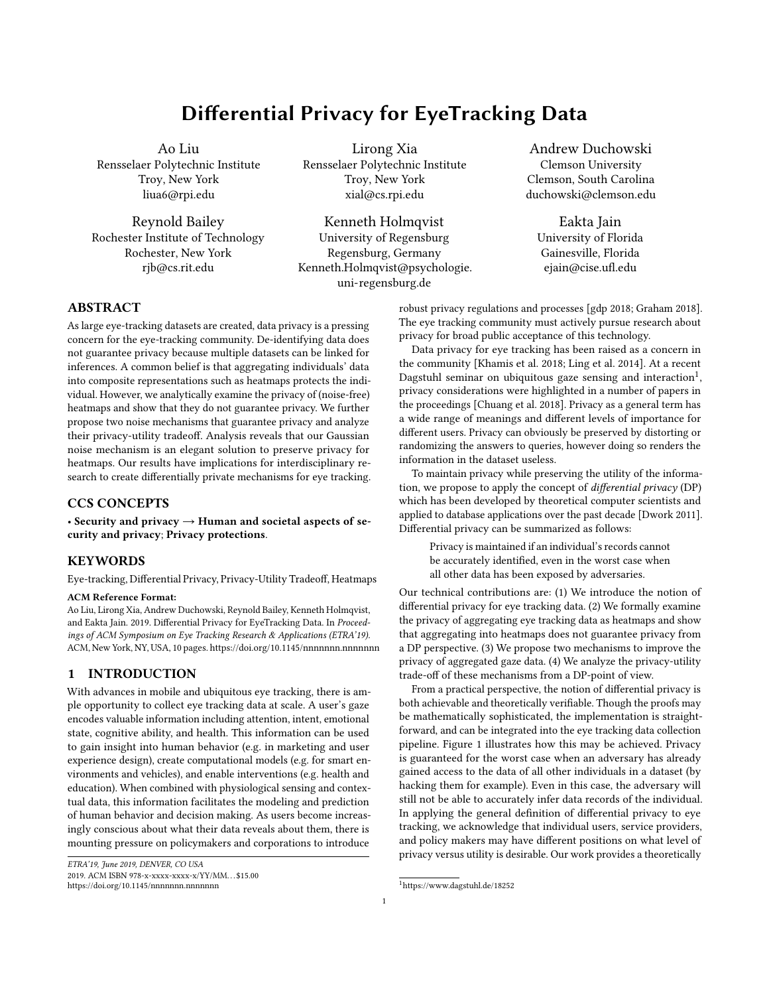<span id="page-5-3"></span>

Figure 2: We examine the privacy-utility tradeoff for selected values of  $N$  for a simulated heatmap. The greater the noise level we choose to add, the stronger is the privacy guarantee. The relevant stakeholders decide what level of noise is acceptable for a given application. For example, in Figure [2d,](#page-5-1) the hotspots are still clear, and a UX designer may find this acceptable for the purpose of getting feedback on the design of a website.

.<br>.

When 
$$
N = \frac{m}{n}
$$
,  $r = \frac{1}{2} + \ln \frac{r}{n}$ , we have,\n\n
$$
\Pr G^{\text{1}}(N^{\circ}) = \mu_{2} > \frac{n}{m} \frac{1}{r} = \frac{2}{N} \frac{m^{D} \overline{r}}{2n}
$$
\n
$$
r = \exp \left(-\frac{n^{2} \overline{r}^{2}}{2m^{2}r}\right) + \frac{1}{4} \left(-\frac{n^{2} \overline{r}^{2}}{2m^{2}r}\right)
$$

Then, Theorem [3.4](#page-4-4) follows by the definition of  $\frac{1}{2}$   $\frac{1}{2}$  DP.

3.5.2 Laplacian Noise. Laplacian noise is the most widely used in many differential privacy problems. However, we will show Laplacian noise is not as suitable as Gaussian noise for protecting eye tracking data. The next Theorem shows  $G^{L^o}$  will not give much information to the adversary if the noise-level is as required information to the adversary if the noise-level is as required.

<span id="page-5-2"></span>THEOREM 3.5 (LAPLACIAN NOISE). Using the notations above, for  $any \mid l$  $\frac{\overline{2} \text{ mr}}{n}$ ,  $M_{Laplacian^1/L^{\circ}}$  is  $^1$  ; 0<sup>o</sup> differentially private.

Proof of Theorem [3.5](#page-5-2) (see Appendix [A.2](#page-9-2) in supplementary mate-rial) is very similar with Theorem [3.4.](#page-4-4) However, the required noise level,  $\lfloor$  $\frac{\overline{2} \text{ mr}}{n}$ , normally is much higher than the requirement of Gaussian noise,  $N = \frac{m}{n}$ r  $\frac{n}{\sqrt{n}} \frac{p}{r}$ cian mechanism requires one more  $\frac{p}{r}$  term on noise level, which  $\frac{1}{2}$  + ln  $\frac{1}{2}$  . One can see the Laplanormally corresponds to  $\frac{1}{2}$  10<sup>2</sup> times higher noise level.

## <span id="page-5-0"></span>4 PRIVACY-UTILITY TRADEOFF

According to Theorem [3.4](#page-4-4) and Theorem [3.5,](#page-5-2) we know better privacy (smaller and ) usually requires higher noise level. In this section, we will conduct experiments to show how Gaussian and Laplacian noise influence the utility, i.e., the corresponding heatmap.

#### 4.1 Noise level vs. information loss

In Figure  $2(a)$ , we show a three-dimensional plot where the x and y axes are  $\frac{1}{\tau}$  and *n* respectively. The reader may revisit notations in axes are  $\frac{1}{\tau}$  and *n* respectively. The reader may revisit notations in Section [3.1.](#page-3-2) On the vertical z-axis, we plot  $N$ , specifically based on the formula given by Theorem [3.4.](#page-4-4) The upper surface shows  $N$ for good privacy ( = 1 and =  $n^{3*2}$ ). The lower surface shows<br>for glave privacy ( = 3 and =  $n^{3*2}$ ). Any value of we show this for okay privacy ( $= 3$  and  $= \pi^{3*2}$ ). Any value of  $\pi$  above this surface will provide okay privacy and any value above the upper surface will provide okay privacy, and any value above the upper surface will provide good privacy.

<span id="page-5-1"></span>In Figure [2](#page-5-3) (a), as the image resolution increases, a larger number of observers is needed in the dataset to maintain the guarantee of good privacy. If there is a small number of observers, good privacy can be achieved by downsampling the image. In Figure [2](#page-5-3)(b) we show a slice of this surface at  $\overline{r} = 300$ . The dotted lines show<br>an example noise level that we could have set based on what we an example noise level that we could have set based on what we find acceptable for utility. This is of course user-defined, and will vary depending on the application. The graphs illustrate that at a selected noise level, e.g.,  $N = 1.5$ , we can achieve good privacy for a 300 300 image if we have of the order of  $n = 900$  observers. For a dataset that has  $n = 300$  observers, we can tell the participants that we can achieve Okay privacy. We show two simulated heatmaps in Figure [2](#page-5-3) (c) and (d). The location of the hotspots is unchanged for all practical purposes in the noisy but private heatmap.

We quantify the privacy-utility tradeoff in Figure [3.](#page-6-1) 100 noisy heatmaps are generated using the workflow in Figure [1.](#page-1-0) Real-world 1050 1680 gaze maps from five observers looking at a portrait of a woman are used here.<sup>[6](#page-5-4)</sup> The original heatmap is shown in Figure [1](#page-1-0) to the right. For the purpose of the noisy heatmap, we assume the number of observers in dataset is 50; 000<sup>[7](#page-5-5)</sup> (the noise is added<br>according to  $P = 50,000$  and Theorem 3.4 and Theorem 3.5). We according to  $n = 50$ ; 000 and Theorem [3.4](#page-4-4) and Theorem [3.5\)](#page-5-2). We simulate this large number of observers by replicating each of the five real observers 10000 times.

In the supplementary materials, we show the original heatmap overlaid on the stimulus image in high resolution (original.png). We also show examples of privacy enhanced heatmaps for this original heatmap at the  $= 1:5$  privacy level (privancyenhanced.mpg). For this image resolution,  $G = 0.0986$  based on Theorem [3.5.](#page-5-2)

We numerically analyzed correlation coefficient (CC) and mean square error (MSE) of noisy heatmaps under different privacy levels (different values of while fixing =  $n^{3*2}$ ). The cap  $m = 1$  is<br>decided according to Algorithm 1 (see Section 4.2 for details), 100 decided according to Algorithm [1](#page-6-2) (see Section [4.2](#page-6-0) for details). 100 noisy heatmaps are generated under each setting. The average CC

<span id="page-5-4"></span> $^6$ Gaze data from dataset of [Raiturkar et al.](#page-8-21) [\[2018\]](#page-8-21), stimulus image from [Farid and Bravo](#page-8-22) [\[2012\]](#page-8-22) and [Mader et al.](#page-8-23) [\[2017\]](#page-8-23).

<span id="page-5-5"></span> $\bar{7}$ If the number of observer is much smaller than 50,000, the practitioner could either down-sample gaze maps or sacrifice privacy (setting larger and ) to get an acceptable noise level.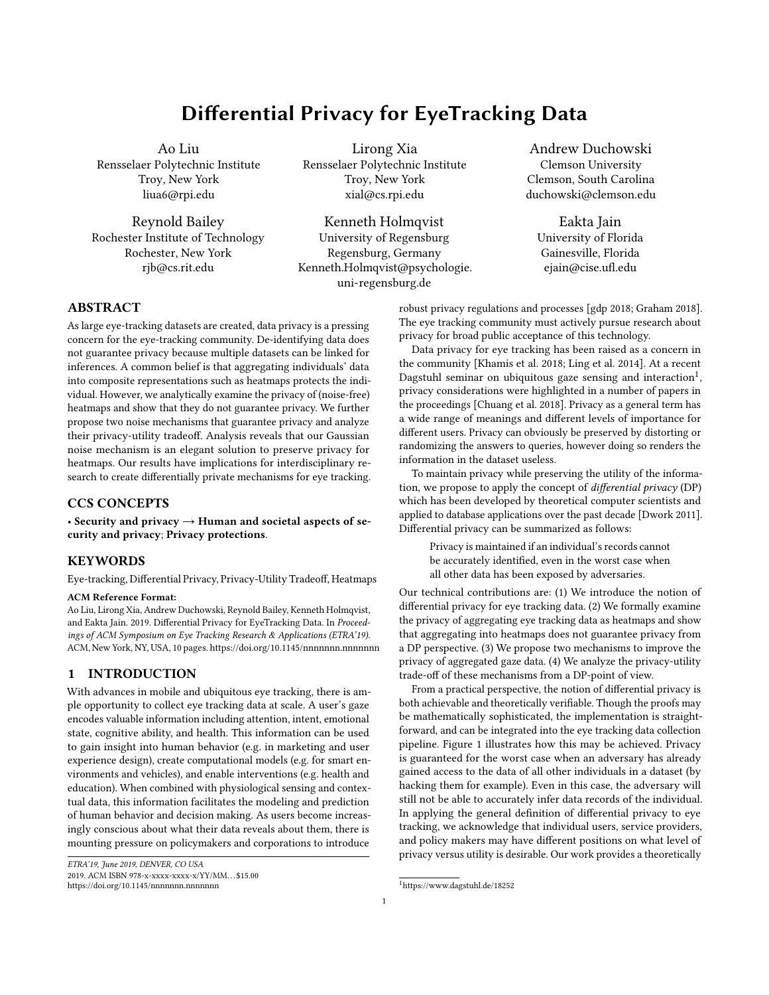<span id="page-6-1"></span>

Figure 3: Similarity between the privacy enhanced heatmap and original heatmap when is varied. The smaller the value of the stronger is the privacy guarantee from the DP perspective. This graph illustrates the privacy-utility tradeoff: as is made smaller, the mean squared error increases and the cross-correlation decreases. The Laplacian mechanism results in lesser similarity than the Gaussian mechanism.

and MSE of those generated noisy heatmaps are plotted in Figure [3.](#page-6-1) Error bars in Figure [3](#page-6-1) represent the standard deviations.

It can be seen from the Figure [3](#page-6-1) that Laplacian mechanism results in much more information loss than Gaussian mechanism to achieve same level of privacy under our setting. For both Gaussian and Laplacian mechanisms, one can see that better privacy (smaller ) usually means more information loss in the outputting heatmap.

We note that these graphs are based on real data of only five observers on one stimulus image. This graph is an example of how a practitioner may visualize the privacy-utility tradeoff in any given application domain. In practice, stakeholders would use our proposed workflow on their dataset to prepare such visualizations for different settings of the internal parameters  $(m; ; )$  to help them evaluate the privacy-utility tradeoff. We note also that Theorem [3.4](#page-4-4) is specific to aggregate heatmaps. For any other mechanism, the appropriate theorems would need to be worked out and the workflow modified to be consistent with the problem definition. We also point out that while mean squared error and cross-correlation are readily computed, they do not fully reflect the information lost or retained when noise is added. As an illustration, in Figure [2,](#page-5-3) the hotspots in the privacy enhanced heatmap are still clear, and a UX designer may find that the heatmap acceptable for their use case even though the MSE and CC metrics suggest otherwise.

#### <span id="page-6-0"></span>4.2 Computing the optimal "cap"

In order to achieve better privacy with less information loss, we set a cap on the maximum number of times an observer's gaze position falls on a pixel. This cap was denoted by  $m$  in Section [3.](#page-3-5) Here we discuss the information loss on different settings on m.

When  $m$  is larger, higher noise level is required to get the same privacy (both the upper bound for  $N$  and L are proportional to  $m$ ). However, larger  $m$  also corresponds to less information loss on every observer's gaze map. In other words, there is tradeoff between variance (noise) and bias (cap) on cap. Let  $G^{\{N;m\}}$   $^{\circ}$  $\degree$  to denote the gaze map outputted by Gaussian mechanism with cap

m and noise level  $N = m$ . Thus,  $G^{(N;1;0)}$  denotes the original agreemented gave man and  $G^{(N;m;0)}$  denotes the aggregated gave aggregated gaze map and  $G^{(N;m;0)}$  denotes the aggregated gaze<br>map with cap m without adding any Gaussian poise. Algorithm 1 map with cap m without adding any Gaussian noise. Algorithm [1](#page-6-2) provides an implementable way to choose the best value of m to optimize mean square error (MSE). In the next theorem, we will

|  | Algorithm 1: Utility optimization algorithm on choosing m |  |
|--|-----------------------------------------------------------|--|
|  |                                                           |  |

- <span id="page-6-2"></span>1 **Input:** *n* observers' individual gaze maps  $G_1$ ;  $G_n$  and noise factor. noise factor .
- **2 Initialization:** Calculate  $G^{\{N\}}$ <sup>1</sup>;<sup>0</sup><sup>°</sup> and the maximum number<br>of times one observer look at one nively  $\frac{1}{2}$  = maximum of times one observer look at one pixel:  $_{\text{max}} = \max_{i,j} \sum_{j} \sum_{j} (-1)^{j} y_{j}$ .<br>3 **for**  $m = 1$ ;  $_{i} \max_{j}$ **do**
- 3 for  $m = 1$ ;  $\therefore$  max do<br>4 Calculate E MSE  $G^{1}N$ ;  $m$ ;  $\circ$  is according to Theorem [4.1.](#page-6-3)
- <sup>5</sup> end
- 6 Output:  $m$  value with the smallest expected MSE.

analytically analyze the expectation of MSE.

<span id="page-6-3"></span>Theorem 4.1. The expected MSE of Gaussian mechanism with cap  $m$  and noise level  $N = m$  is

**h**  

$$
\mathbb{E} \text{ MSE } G^{1N,m}, \quad \mathbf{e}^{\mathbf{I}} = m^2 \quad 2 + \frac{1}{r} \sum_{j=1}^{\infty} G^{1N,m,0^{\circ}1j^{\circ}} G^{1N,1,0^{\circ}1j^{\circ}}.
$$

PROOF. By the definition of MSE, we have,

**h**  
**E** MSE 
$$
G^{1N; m;}
$$
  $\circ$  **i**  
 $= \frac{1}{r} \sum_{j=1}^{\bullet}$  E  $G^{1N; m;}$   $\circ$   $1j^{\circ}$   $G^{1N; 1; 0^{\circ}1j^{\circ}}$   $2$ 

Using the notations defined above, the expected square error on j th pixel is

<span id="page-6-4"></span>
$$
\mathbb{E} G^{\{N,m,-^{\circ}\}} j^{\circ} G^{\{N,1,0^{\circ}\}} j^{\circ} \mathbb{E} \mathbf{G}^{\{N,m,-^{\circ}\}} j^{\circ} \mathbb{E} \mathbf{G}^{\{N,m,-^{\circ}\}} j^{\circ} + G^{\{N,1,0^{\circ}\}} j^{\circ} \mathbb{E} \mathbf{G}^{\{N,m,-^{\circ}\}} j^{\circ} + G^{\{N,1,0^{\circ}\}} j^{\circ} \mathbb{E} \mathbf{G}^{\{N,m,-^{\circ}\}} j^{\circ} + G^{\{N,1,0^{\circ}\}} j^{\circ} \mathbb{E} \mathbf{G}^{\{N,m,-^{\circ}\}} j^{\circ} + G^{\{N,1,0^{\circ}\}} j^{\circ} \mathbb{E} \mathbf{G}^{\{N,m,-^{\circ}\}} j^{\circ} + G^{\{N,1,0^{\circ}\}} j^{\circ} \mathbb{E} \mathbf{G}^{\{N,m,-^{\circ}\}} j^{\circ} + G^{\{N,1,0^{\circ}\}} j^{\circ} \mathbb{E} \mathbf{G}^{\{N,m,-^{\circ}\}} j^{\circ} + G^{\{N,1,0^{\circ}\}} j^{\circ} \mathbb{E} \mathbf{G}^{\{N,m,-^{\circ}\}} j^{\circ} + G^{\{N,1,0^{\circ}\}} j^{\circ} \mathbb{E} \mathbf{G}^{\{N,m,-^{\circ}\}} j^{\circ} + G^{\{N,1,0^{\circ}\}} j^{\circ} \mathbb{E} \mathbf{G}^{\{N,m,-^{\circ}\}} j^{\circ} + G^{\{N,1,0^{\circ}\}} j^{\circ} \mathbb{E} \mathbf{G}^{\{N,m,-^{\circ}\}} j^{\circ} + G^{\{N,1,0^{\circ}\}} j^{\circ} \mathbb{E} \mathbf{G}^{\{N,m,-^{\circ}\}} j^{\circ} + G^{\{N,1,0^{\circ}\}} j^{\circ} \mathbb{E} \mathbf{G}^{\{N,m,-^{\circ}\}} j^{\circ} + G^{\{N,1,0^{\circ}\}} j^{\circ} \mathbb{E} \mathbf{G}^{\{N,m,-^{\circ}\}} j^{\circ} + G^{\{N,1,0^{\circ}\}} j^{\circ} \mathbb{E} \mathbf{G}^{\{N,m,-
$$

because  $G_i^{N; m}$  $\int_{\blacksquare} N; m; \quad \blacksquare$  N  $G_j^{\{N; m; 0\}}; m^2 \quad \blacksquare$ , we have, E h  $G^{1N; m; o_{1}}j^{o} = G^{1N; m; 0^{o}}j^{o}$  and  $E \quad G^{1}N; m; \quad \degree_1 j^{\circ} \quad ^2$ =  ${}^{2}m^{2} + G^{1}N; m; 0^{0}1j^{0}$   $^{2}$ (5)

<span id="page-6-5"></span>Theorem [4.1](#page-6-3) follows by combining [\(4\)](#page-6-4) and [\(5\)](#page-6-5).

Then, we analyze the complexity of Algorithm [1](#page-6-2) in the next theorem, which says Algorithm [1](#page-6-2) is with linear-time complexity.

<span id="page-6-6"></span>THEOREM 4.2. The complexity of Algorithm [1](#page-6-2) is  $O^+$  max nr<sup>o</sup>.

PROOF. Rewriting the expected MSE in Theorem [4.1,](#page-6-3) we have,

$$
\mathbb{E} \text{ sMSEM} = m^2 - \frac{2}{r} + \frac{1}{r} G^{(N; m; 0^{\circ})} G^{(N; 1; 0^{\circ})} \frac{2}{2};
$$

where the  $\geq$  norm still represents Frobenius norm. Since  $G^{(N;m;0)}$ <br>and  $G^{(N;1;0)}$  are L dimensional vectors, the complexity of comput and  $G^{[N;1;0]}$  are *r*-dimensional vectors, the complexity of comput-<br>ing expected MSE for a given  $m$  and  $G^{[N;m;0]}$  will be  $O^{\text{1}}m^{\circ}$ ing expected MSE for a given m and  $G^{(N;m;0)}$  will be  $O^1m^{\circ}$ .<br>Then we evaluate the complexity of calculating the canneg

Then, we evaluate the complexity of calculating the capped noisefree aggregated gaze map  $G^{[\vec{N};m;0^{\circ}]}$ . Since we are adding cap to each observer's individual gaze map, we can add cap to every pixel of all observer's individual gaze map, we can add cap to every pixel of all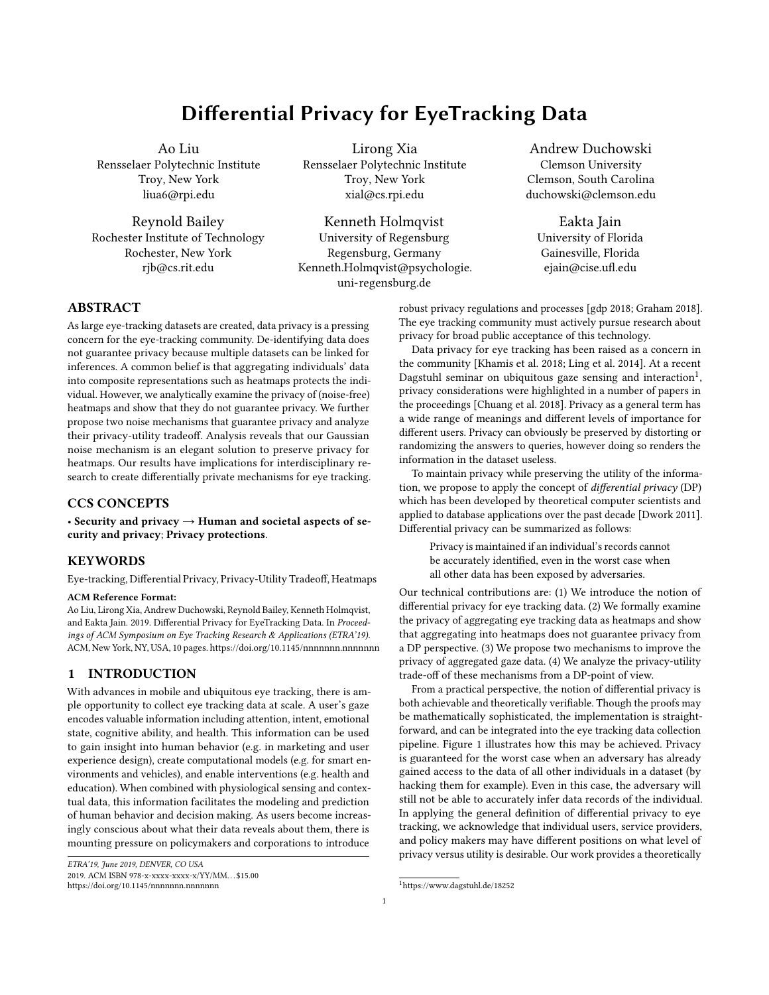observers. Thus, one can see there are  $n r$  pixels from  $n$  observers in total. Considering the for loop in Algorithm [1](#page-6-2) runs  $_{\text{max}}$  times, Theorem [4.2](#page-6-6) follows.

## 5 IMPLICATIONS

Datasets are growing. In contrast to the previous research paradigm where datasets were collected, archived, and then released, there is a growing trend to crowd-source data collection, via mobile apps for example, so that new data is continually being added to the dataset. With the methods presented, the new data is safe as long as the publicly available dataset is put through the Gaussian noise mechanism. Another way that eye tracking datasets might seek to preserve a user's privacy is by releasing their eye movements, but not what they were looking at. With the methods we present, releasing the stimulus image/video that observers look at is safe because even in the worst case an adversary will not be able to guess at what a particular individual looked at.

Why can the generic theorem of differential privacy not be applied to eye tracking? Unlike classical databases, every observer in eye tracking database contributes much richer information (i.e., millions of pixels) than individuals in classical databases. However, the generic theorems in differential privacy do not focus on high-dimensional data. Simply applying union bounds will result in very loose privacy bounds and unacceptable noise levels.

Why are we adding noise when the field is spending so much time and effort removing it? There has been much research in eye tracking to improve the accuracy of eye tracking to maximize the utility and applicability of eye tracking devices for diverse use cases. This work has been directed at sources of noise that are inherent to the process, such as sensor and measurement noise. However, as eye tracking becomes ubiquitous, there is a cost for the individual user whose data is being recorded and for the organizations who are safeguarding and distributing this data. This cost is the sacrifice of privacy of the individual. We do not argue for reversing the technological push towards reliable, accurate eye tracking. Rather, we argue that our objective as a community must expand to include privacy in addition to utility. For those situations where privacy is deemed to be worth protecting, we introduce flexible mechanisms to do so. Noise is added to data in the aggregate, not to any individual's data. Further, the noise function is fully understood, and its parameters are set based on the desired privacyutility tradeoff. Unlike measurement noise, whose source may not be fully understood, we add noise in a controlled and measured way to achieve a specific objective.

Why should the research community care? This research requires an interdisciplinary approach. The eye tracking community cannot just "leave it to the privacy researchers" because the theoretical guarantees that form the basis of this framework are highly dependent on the particular mechanisms that the data goes through (the functional forms in the equations, the particular thresholds, etc.). These mechanisms have to be developed collaboratively to preserve the utility of the output for eye tracking applications.

Why should the industry care? The push towards ubiquitous eye tracking is being driven by large investments by major industry players. While their applications are highly data-dependent, their customers are increasingly data-sensitive. This paper proposes the first of a class of solutions which pair theoretical analysis from a DP-perspective with a practically implementable workflow for developers. This work opens the door for a responsible industry that can inform their users that while they may eye track the users at very high accuracy and resolution to enable foveated rendering (for example), they would put this data through mechanism A or B before releasing it to the app developers.

### 6 CONCLUSIONS AND FUTURE DIRECTIONS

We have proposed to apply the notion of differential privacy toward the analysis of privacy of eye-tracking data. We have analyzed the privacy guarantees provided by the mechanisms of random selection, and additive noise (Gaussian and Laplacian noise). The main takeaway from this paper is that adding Gaussian noise will guarantee differential privacy; the noise level should be appropriately selected based on the application. Our focus is on static heatmaps as a sandbox to understand how the definitions of differential privacy apply to eye tracking data. In this sense, this paper is a proof of concept. Eye tracking data is fundamentally temporal in nature, and the privacy loss if an adversary could access saccade velocities and dynamic attention allocation would be much greater than static heatmaps. Future work would systematically consider all the different ways in which eye tracking data is analyzed and stored.

We have considered two noise models (Gaussian and Laplacian noise). Follow up work might consider the privacy-utility trade-off for different noise models like pink noise. For temporal data such as raw eye movements, it may even be relevant to understand which noise models are more realistic. In other words, if the user's virtual avatar was driven by privacy enhanced eye tracking data, it should still appear realistic and natural.

The mechanisms and analyses presented here apply to realvalued data that can be aligned to a grid and capped to a maximum value without loss of utility. Though our focus has been on eye tracking heatmaps, there are other data that fall in this category, for example, gestures on a touchscreen, or readings from a force plate. It would also be interesting to generalize these mechanisms and analyses to other physiological data such as heart rate, galvanic skin response, and even gestures or gait. These data are conceptually similar to eye tracking data in that they carry signatures of the individual's identity and markers of their health and well-being. Furthermore, in physiological domains many data and analyses are temporal in nature. It would be interesting and important to define and analyze differential privacy for temporal data.

## **REFERENCES**

<span id="page-7-2"></span><span id="page-7-0"></span>(2018). Eu general data protection regulation. https://eugdpr.org.

- Abadi, M., Chu, A., Goodfellow, I., McMahan, H. B., Mironov, I., Talwar, K., and Zhang, L. (2016). Deep learning with differential privacy. In Proceedings of the 2016 ACM SIGSAC Conference on Computer and Communications Security, pages 308–318. ACM.
- <span id="page-7-1"></span>Chuang, L., Duchowski, A., Qvarfordt, P., and Weiskopf, D., editors (2018). Ubiquitous Gaze Sensing and Interaction, volume 8 of Dagstuhl Reports, Schloss Dagstuhl– Leibniz-Zentrum fü Informatik, Germany. Dagstuhl Publishing.
- <span id="page-7-3"></span>Duchowski, A. T. (2018). Gaze-based interaction: A 30 year retrospective. Computers & Graphics, pages –. Special Section on Serious Games and Virtual Environments.
- <span id="page-7-4"></span>Duchowski, A. T., Price, M. M., Meyer, M., and Orero, P. (2012). Aggregate gaze visualization with real-time heatmaps. In Proceedings of the Symposium on Eye Tracking Research and Applications, pages 13–20. ACM.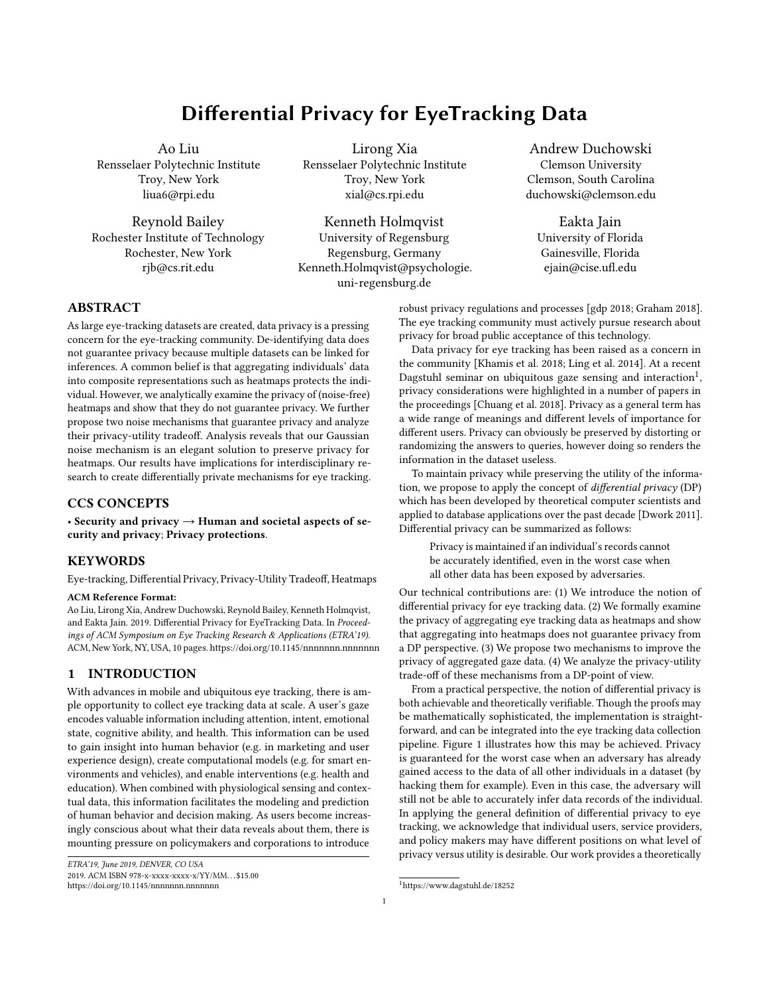#### Differential Privacy for EyeTracking Data **ETRA'19, June 2019, DENVER, CO USA** ETRA'19, June 2019, DENVER, CO USA

<span id="page-8-8"></span>Dwork, C. (2008). Differential privacy: A survey of results. In International Conference on Theory and Applications of Models of Computation, pages 1–19. Springer.

<span id="page-8-3"></span>Dwork, C. (2011). A firm foundation for private data analysis. Communications of ACM, 54(1):86–95.

- <span id="page-8-12"></span>Dwork, C., Roth, A., et al. (2014). The algorithmic foundations of differential privacy. Foundations and Trends® in Theoretical Computer Science, 9(3–4):211–407.
- <span id="page-8-18"></span>Elias, G., Sherwin, G., and Wise, J. (1984). Eye movements while viewing NTSC format television. Technical report, SMPTE Psychophysics Subcommittee.
- <span id="page-8-10"></span>Fan, L. and Xiong, L. (2014). An adaptive approach to real-time aggregate monitoring with differential privacy. IEEE Transactions on knowledge and data engineering, 26(9):2094–2106.
- <span id="page-8-22"></span>Farid, H. and Bravo, M. J. (2012). Perceptual discrimination of computer generated and photographic faces. Digital Investigation, 8(3-4):226–235.
- <span id="page-8-0"></span>Graham, J. (2018). Is apple really better about privacy? here's what we found out. [https://www.usatoday.com/story/tech/talkingtech/2018/04/17/](https://www.usatoday.com/story/tech/talkingtech/2018/04/17/apple-make-simpler-download-your-privacy-data-year/521786002/) [apple-make-simpler-download-your-privacy-data-year/521786002/.](https://www.usatoday.com/story/tech/talkingtech/2018/04/17/apple-make-simpler-download-your-privacy-data-year/521786002/)
- <span id="page-8-4"></span>Holland, C. and Komogortsev, O. V. (2011). Biometric identification via eye movement scanpaths in reading. In Biometrics (IJCB), 2011 International Joint Conference on, pages 1–8. IEEE.
- <span id="page-8-14"></span>Jarodzka, H., Holmqvist, K., and Gruber, H. (2017). Eye tracking in educational science: Theoretical frameworks and research agendas. Journal of Eye Movement Research, 10(1).
- <span id="page-8-9"></span>Ji, Z., Lipton, Z. C., and Elkan, C. (2014). Differential privacy and machine learning: a survey and review. arXiv preprint arXiv:1412.7584.
- <span id="page-8-1"></span>Khamis, M., Alt, F., and Bulling, A. (2018). The past, present, and future of gaze-enabled handheld mobile devices: Survey and lessons learned. In Proceedings of the 20th International Conference on Human-Computer Interaction with Mobile Devices and Services (MobileHCI), pages 38:1–38:17.
- <span id="page-8-5"></span>Komogortsev, O. V., Jayarathna, S., Aragon, C. R., and Mahmoud, M. (2010). Biometric identification via an oculomotor plant mathematical model. In Proceedings of the 2010 Symposium on Eye-Tracking Research & Applications, pages 57–60. ACM.
- <span id="page-8-13"></span>Leigh, R. J. and Zee, D. S. (2015). The neurology of eye movements. Oxford University Press, USA.
- <span id="page-8-15"></span>Liebling, D. J. and Preibusch, S. (2014). Privacy considerations for a pervasive eye tracking world. In Proceedings of the 2014 ACM International Joint Conference on Pervasive and Ubiquitous Computing: Adjunct Publication, pages 1169–1177. ACM.
- <span id="page-8-2"></span>Ling, R., Mardanbeigi, D., and Hansen, D. W. (2014). Synergies between head-mounted displays and headmounted eye tracking: The trajectory of development and its social consequences. In Living inside social mobile information, pages 131–156, 2251 Arbor Blvd. Dayton, OH 45439, USA.
- <span id="page-8-23"></span>Mader, B., Banks, M. S., and Farid, H. (2017). Identifying computer-generated portraits: The importance of training and incentives. Perception, 46(9):1062–1076.
- <span id="page-8-20"></span>Mital, P. K., Smith, T. J., Hill, R. L., and Henderson, J. M. (2011). Clustering of Gaze During Dynamic Scene Viewing is Predicted by Motion. Cognitive Computation, 3:5–24.
- <span id="page-8-6"></span>Nissim, K., Steinke, T., Wood, A., Altman, M., Bembenek, A., Bun, M., Gaboardi, M., OâĂŹBrien, D. R., and Vadhan, S. (2017). Differential privacy: A primer for a nontechnical audience. Working Group Privacy Tools Sharing Res. Data, Harvard Univ., Boston, MA, USA, Tech. Rep. TR-2017-03.
- <span id="page-8-7"></span>Ohm, P. (2009). Broken promises of privacy: Responding to the surprising failure of anonymization. Ucla L. Rev., 57:1701.
- <span id="page-8-16"></span>Pomplun, M., Ritter, H., and Velichkovsky, B. (1996). Disambiguating complex visual information: Towards communication of personal views of a scene. Perception, 25(8):931–948.
- <span id="page-8-21"></span>Raiturkar, P., Farid, H., and Jain, E. (2018). Identifying computer-generated portraits: an eye tracking study. Technical report, University of Florida.
- <span id="page-8-11"></span>Rastogi, V. and Nath, S. (2010). Differentially private aggregation of distributed timeseries with transformation and encryption. In Proceedings of the 2010 ACM SIGMOD International Conference on Management of data, pages 735–746. ACM.
- <span id="page-8-19"></span>van Gisbergen, M. S., van der Most, J., and Aelen, P. (2007). Visual Attention to Online Search Engine Results. Technical report, De Vos & Jansen in cooperation with Checkit. URL: [http://www.iprospect.nl/wp-content/themes/iprospect/pdf/checkit/](http://www.iprospect.nl/wp-content/themes/iprospect/pdf/checkit/eyetracking_research.pdf) [eyetracking\\_research.pdf](http://www.iprospect.nl/wp-content/themes/iprospect/pdf/checkit/eyetracking_research.pdf) (last accessed Dec. 2011).
- <span id="page-8-17"></span>Wooding, D. S. (2002). Fixation maps: quantifying eye-movement traces. In Proceedings of the Symposium on Eye tracking research & Applications (ETRA), pages 31–36. ACM.